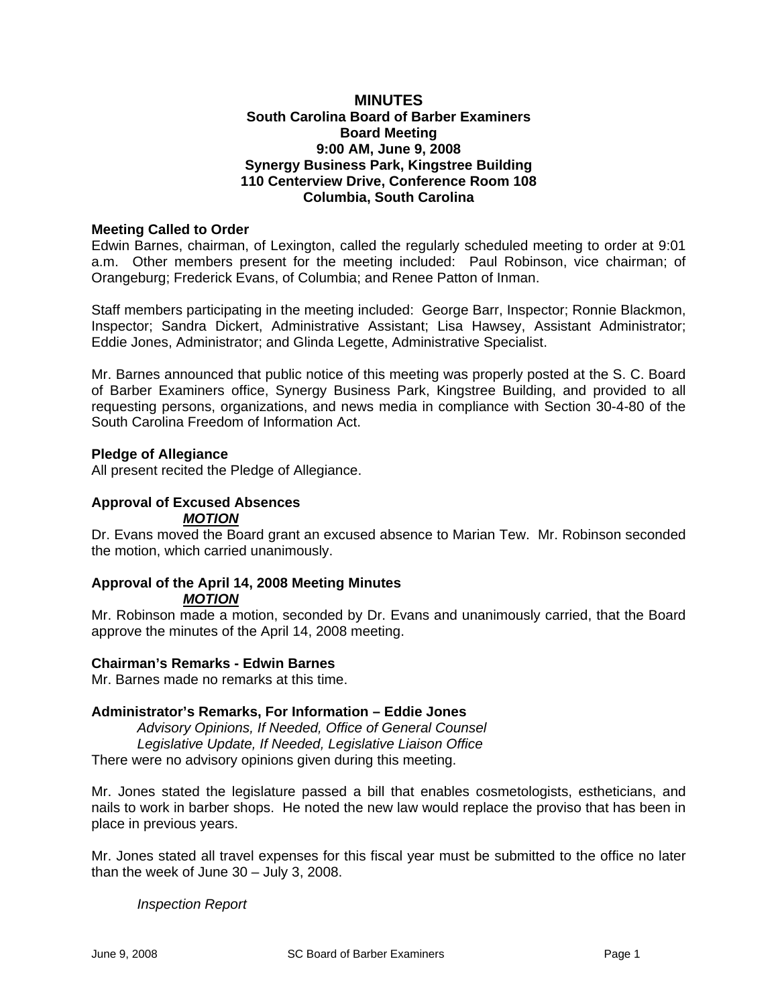## **MINUTES South Carolina Board of Barber Examiners Board Meeting 9:00 AM, June 9, 2008 Synergy Business Park, Kingstree Building 110 Centerview Drive, Conference Room 108 Columbia, South Carolina**

### **Meeting Called to Order**

Edwin Barnes, chairman, of Lexington, called the regularly scheduled meeting to order at 9:01 a.m. Other members present for the meeting included: Paul Robinson, vice chairman; of Orangeburg; Frederick Evans, of Columbia; and Renee Patton of Inman.

Staff members participating in the meeting included: George Barr, Inspector; Ronnie Blackmon, Inspector; Sandra Dickert, Administrative Assistant; Lisa Hawsey, Assistant Administrator; Eddie Jones, Administrator; and Glinda Legette, Administrative Specialist.

Mr. Barnes announced that public notice of this meeting was properly posted at the S. C. Board of Barber Examiners office, Synergy Business Park, Kingstree Building, and provided to all requesting persons, organizations, and news media in compliance with Section 30-4-80 of the South Carolina Freedom of Information Act.

### **Pledge of Allegiance**

All present recited the Pledge of Allegiance.

### **Approval of Excused Absences**  *MOTION*

Dr. Evans moved the Board grant an excused absence to Marian Tew. Mr. Robinson seconded the motion, which carried unanimously.

#### **Approval of the April 14, 2008 Meeting Minutes**  *MOTION*

Mr. Robinson made a motion, seconded by Dr. Evans and unanimously carried, that the Board approve the minutes of the April 14, 2008 meeting.

# **Chairman's Remarks - Edwin Barnes**

Mr. Barnes made no remarks at this time.

### **Administrator's Remarks, For Information – Eddie Jones**

*Advisory Opinions, If Needed, Office of General Counsel Legislative Update, If Needed, Legislative Liaison Office*  There were no advisory opinions given during this meeting.

Mr. Jones stated the legislature passed a bill that enables cosmetologists, estheticians, and nails to work in barber shops. He noted the new law would replace the proviso that has been in place in previous years.

Mr. Jones stated all travel expenses for this fiscal year must be submitted to the office no later than the week of June 30 – July 3, 2008.

*Inspection Report*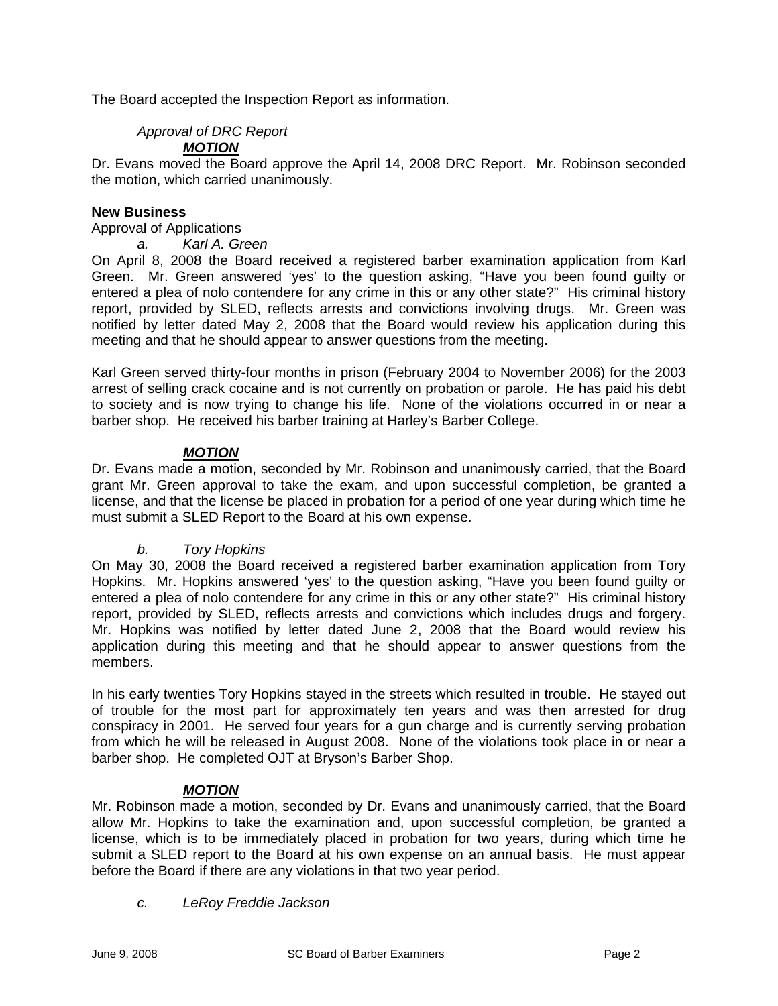The Board accepted the Inspection Report as information.

# *Approval of DRC Report*

# *MOTION*

Dr. Evans moved the Board approve the April 14, 2008 DRC Report. Mr. Robinson seconded the motion, which carried unanimously.

### **New Business**

Approval of Applications

*a. Karl A. Green* 

On April 8, 2008 the Board received a registered barber examination application from Karl Green. Mr. Green answered 'yes' to the question asking, "Have you been found guilty or entered a plea of nolo contendere for any crime in this or any other state?" His criminal history report, provided by SLED, reflects arrests and convictions involving drugs. Mr. Green was notified by letter dated May 2, 2008 that the Board would review his application during this meeting and that he should appear to answer questions from the meeting.

Karl Green served thirty-four months in prison (February 2004 to November 2006) for the 2003 arrest of selling crack cocaine and is not currently on probation or parole. He has paid his debt to society and is now trying to change his life. None of the violations occurred in or near a barber shop. He received his barber training at Harley's Barber College.

### *MOTION*

Dr. Evans made a motion, seconded by Mr. Robinson and unanimously carried, that the Board grant Mr. Green approval to take the exam, and upon successful completion, be granted a license, and that the license be placed in probation for a period of one year during which time he must submit a SLED Report to the Board at his own expense.

# *b. Tory Hopkins*

On May 30, 2008 the Board received a registered barber examination application from Tory Hopkins. Mr. Hopkins answered 'yes' to the question asking, "Have you been found guilty or entered a plea of nolo contendere for any crime in this or any other state?" His criminal history report, provided by SLED, reflects arrests and convictions which includes drugs and forgery. Mr. Hopkins was notified by letter dated June 2, 2008 that the Board would review his application during this meeting and that he should appear to answer questions from the members.

In his early twenties Tory Hopkins stayed in the streets which resulted in trouble. He stayed out of trouble for the most part for approximately ten years and was then arrested for drug conspiracy in 2001. He served four years for a gun charge and is currently serving probation from which he will be released in August 2008. None of the violations took place in or near a barber shop. He completed OJT at Bryson's Barber Shop.

### *MOTION*

Mr. Robinson made a motion, seconded by Dr. Evans and unanimously carried, that the Board allow Mr. Hopkins to take the examination and, upon successful completion, be granted a license, which is to be immediately placed in probation for two years, during which time he submit a SLED report to the Board at his own expense on an annual basis. He must appear before the Board if there are any violations in that two year period.

### *c. LeRoy Freddie Jackson*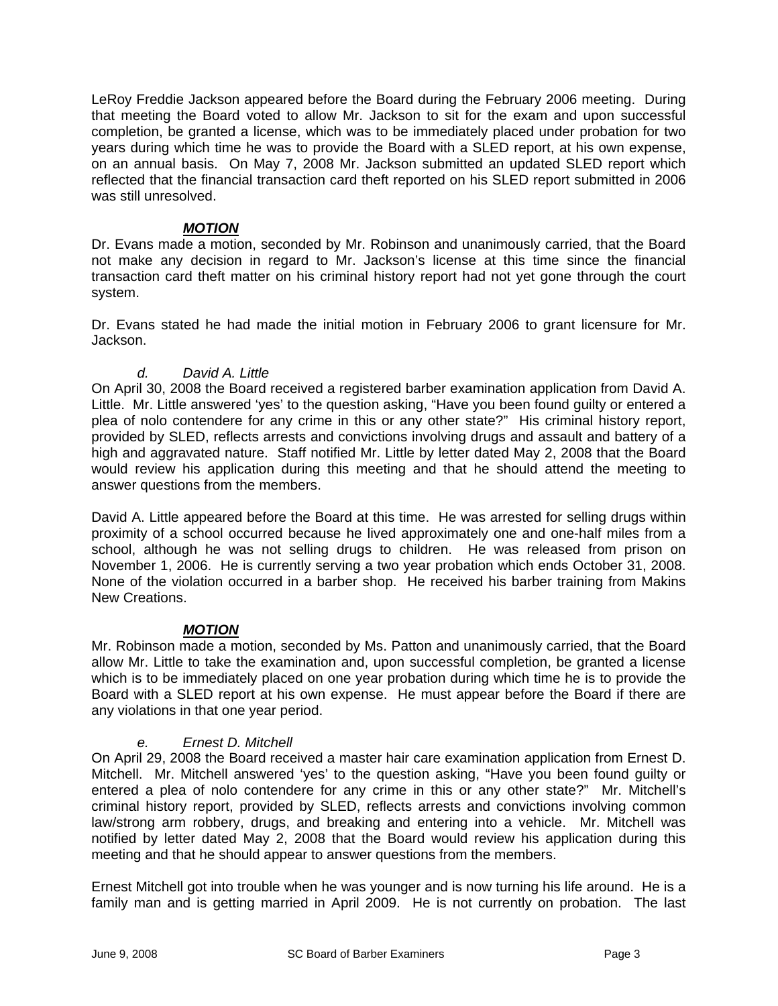LeRoy Freddie Jackson appeared before the Board during the February 2006 meeting. During that meeting the Board voted to allow Mr. Jackson to sit for the exam and upon successful completion, be granted a license, which was to be immediately placed under probation for two years during which time he was to provide the Board with a SLED report, at his own expense, on an annual basis. On May 7, 2008 Mr. Jackson submitted an updated SLED report which reflected that the financial transaction card theft reported on his SLED report submitted in 2006 was still unresolved.

# *MOTION*

Dr. Evans made a motion, seconded by Mr. Robinson and unanimously carried, that the Board not make any decision in regard to Mr. Jackson's license at this time since the financial transaction card theft matter on his criminal history report had not yet gone through the court system.

Dr. Evans stated he had made the initial motion in February 2006 to grant licensure for Mr. Jackson.

# *d. David A. Little*

On April 30, 2008 the Board received a registered barber examination application from David A. Little. Mr. Little answered 'yes' to the question asking, "Have you been found guilty or entered a plea of nolo contendere for any crime in this or any other state?" His criminal history report, provided by SLED, reflects arrests and convictions involving drugs and assault and battery of a high and aggravated nature. Staff notified Mr. Little by letter dated May 2, 2008 that the Board would review his application during this meeting and that he should attend the meeting to answer questions from the members.

David A. Little appeared before the Board at this time. He was arrested for selling drugs within proximity of a school occurred because he lived approximately one and one-half miles from a school, although he was not selling drugs to children. He was released from prison on November 1, 2006. He is currently serving a two year probation which ends October 31, 2008. None of the violation occurred in a barber shop. He received his barber training from Makins New Creations.

### *MOTION*

Mr. Robinson made a motion, seconded by Ms. Patton and unanimously carried, that the Board allow Mr. Little to take the examination and, upon successful completion, be granted a license which is to be immediately placed on one year probation during which time he is to provide the Board with a SLED report at his own expense. He must appear before the Board if there are any violations in that one year period.

### *e. Ernest D. Mitchell*

On April 29, 2008 the Board received a master hair care examination application from Ernest D. Mitchell. Mr. Mitchell answered 'yes' to the question asking, "Have you been found guilty or entered a plea of nolo contendere for any crime in this or any other state?" Mr. Mitchell's criminal history report, provided by SLED, reflects arrests and convictions involving common law/strong arm robbery, drugs, and breaking and entering into a vehicle. Mr. Mitchell was notified by letter dated May 2, 2008 that the Board would review his application during this meeting and that he should appear to answer questions from the members.

Ernest Mitchell got into trouble when he was younger and is now turning his life around. He is a family man and is getting married in April 2009. He is not currently on probation. The last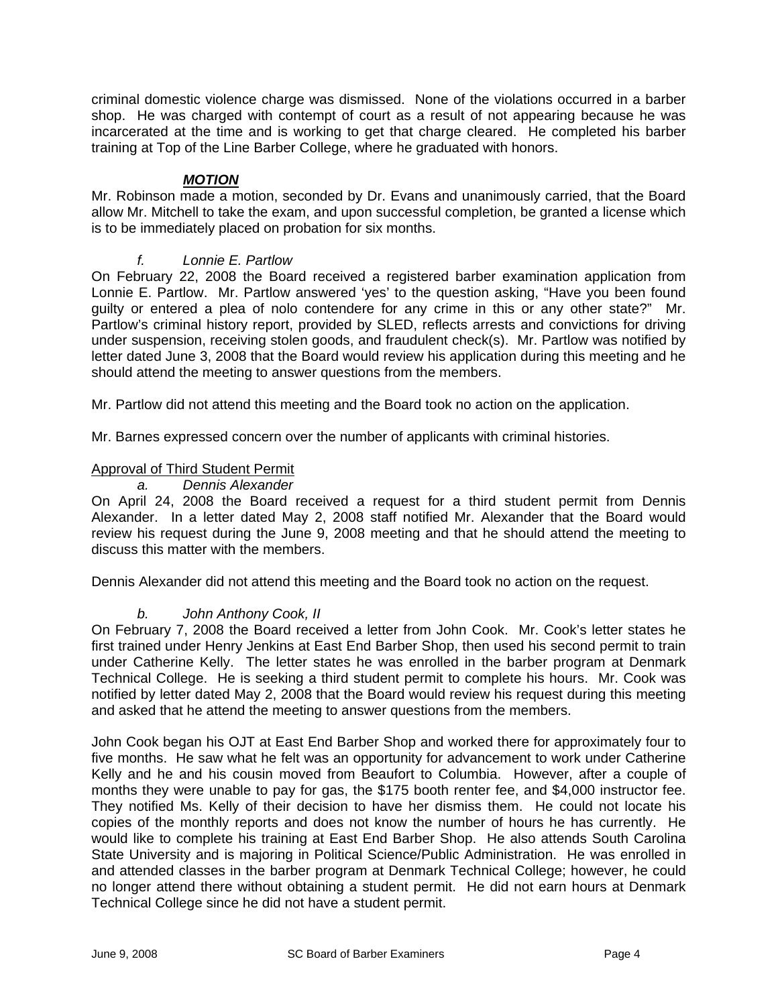criminal domestic violence charge was dismissed. None of the violations occurred in a barber shop. He was charged with contempt of court as a result of not appearing because he was incarcerated at the time and is working to get that charge cleared. He completed his barber training at Top of the Line Barber College, where he graduated with honors.

# *MOTION*

Mr. Robinson made a motion, seconded by Dr. Evans and unanimously carried, that the Board allow Mr. Mitchell to take the exam, and upon successful completion, be granted a license which is to be immediately placed on probation for six months.

# *f. Lonnie E. Partlow*

On February 22, 2008 the Board received a registered barber examination application from Lonnie E. Partlow. Mr. Partlow answered 'yes' to the question asking, "Have you been found guilty or entered a plea of nolo contendere for any crime in this or any other state?" Mr. Partlow's criminal history report, provided by SLED, reflects arrests and convictions for driving under suspension, receiving stolen goods, and fraudulent check(s). Mr. Partlow was notified by letter dated June 3, 2008 that the Board would review his application during this meeting and he should attend the meeting to answer questions from the members.

Mr. Partlow did not attend this meeting and the Board took no action on the application.

Mr. Barnes expressed concern over the number of applicants with criminal histories.

# Approval of Third Student Permit

#### *a. Dennis Alexander*

On April 24, 2008 the Board received a request for a third student permit from Dennis Alexander. In a letter dated May 2, 2008 staff notified Mr. Alexander that the Board would review his request during the June 9, 2008 meeting and that he should attend the meeting to discuss this matter with the members.

Dennis Alexander did not attend this meeting and the Board took no action on the request.

# *b. John Anthony Cook, II*

On February 7, 2008 the Board received a letter from John Cook. Mr. Cook's letter states he first trained under Henry Jenkins at East End Barber Shop, then used his second permit to train under Catherine Kelly. The letter states he was enrolled in the barber program at Denmark Technical College. He is seeking a third student permit to complete his hours. Mr. Cook was notified by letter dated May 2, 2008 that the Board would review his request during this meeting and asked that he attend the meeting to answer questions from the members.

John Cook began his OJT at East End Barber Shop and worked there for approximately four to five months. He saw what he felt was an opportunity for advancement to work under Catherine Kelly and he and his cousin moved from Beaufort to Columbia. However, after a couple of months they were unable to pay for gas, the \$175 booth renter fee, and \$4,000 instructor fee. They notified Ms. Kelly of their decision to have her dismiss them. He could not locate his copies of the monthly reports and does not know the number of hours he has currently. He would like to complete his training at East End Barber Shop. He also attends South Carolina State University and is majoring in Political Science/Public Administration. He was enrolled in and attended classes in the barber program at Denmark Technical College; however, he could no longer attend there without obtaining a student permit. He did not earn hours at Denmark Technical College since he did not have a student permit.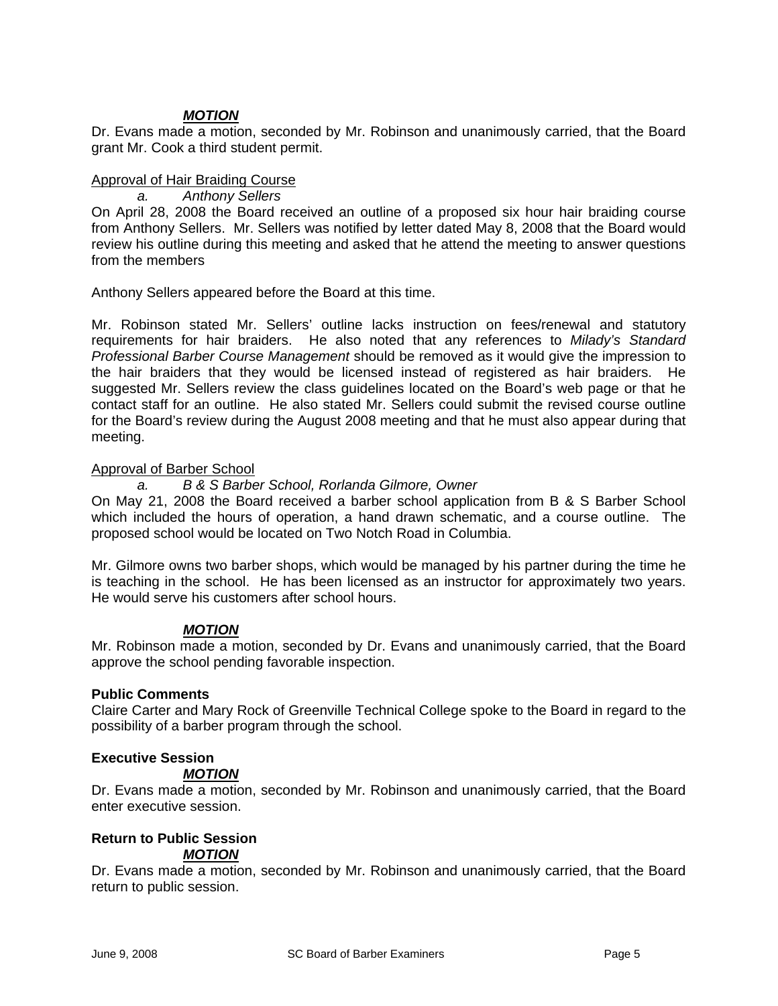# *MOTION*

Dr. Evans made a motion, seconded by Mr. Robinson and unanimously carried, that the Board grant Mr. Cook a third student permit.

## Approval of Hair Braiding Course

*a. Anthony Sellers*

On April 28, 2008 the Board received an outline of a proposed six hour hair braiding course from Anthony Sellers. Mr. Sellers was notified by letter dated May 8, 2008 that the Board would review his outline during this meeting and asked that he attend the meeting to answer questions from the members

Anthony Sellers appeared before the Board at this time.

Mr. Robinson stated Mr. Sellers' outline lacks instruction on fees/renewal and statutory requirements for hair braiders. He also noted that any references to *Milady's Standard Professional Barber Course Management* should be removed as it would give the impression to the hair braiders that they would be licensed instead of registered as hair braiders. He suggested Mr. Sellers review the class guidelines located on the Board's web page or that he contact staff for an outline. He also stated Mr. Sellers could submit the revised course outline for the Board's review during the August 2008 meeting and that he must also appear during that meeting.

# Approval of Barber School

### *a. B & S Barber School, Rorlanda Gilmore, Owner*

On May 21, 2008 the Board received a barber school application from B & S Barber School which included the hours of operation, a hand drawn schematic, and a course outline. The proposed school would be located on Two Notch Road in Columbia.

Mr. Gilmore owns two barber shops, which would be managed by his partner during the time he is teaching in the school. He has been licensed as an instructor for approximately two years. He would serve his customers after school hours.

### *MOTION*

Mr. Robinson made a motion, seconded by Dr. Evans and unanimously carried, that the Board approve the school pending favorable inspection.

# **Public Comments**

Claire Carter and Mary Rock of Greenville Technical College spoke to the Board in regard to the possibility of a barber program through the school.

# **Executive Session**

### *MOTION*

Dr. Evans made a motion, seconded by Mr. Robinson and unanimously carried, that the Board enter executive session.

#### **Return to Public Session** *MOTION*

Dr. Evans made a motion, seconded by Mr. Robinson and unanimously carried, that the Board return to public session.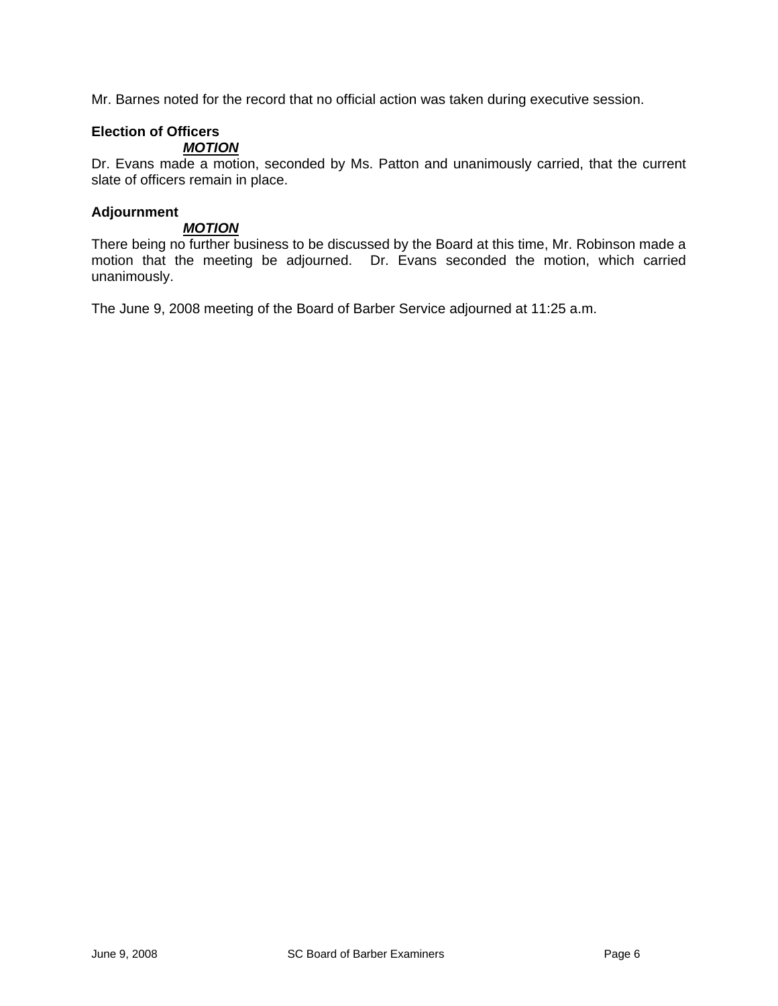Mr. Barnes noted for the record that no official action was taken during executive session.

# **Election of Officers**

# *MOTION*

Dr. Evans made a motion, seconded by Ms. Patton and unanimously carried, that the current slate of officers remain in place.

## **Adjournment**

## *MOTION*

There being no further business to be discussed by the Board at this time, Mr. Robinson made a motion that the meeting be adjourned. Dr. Evans seconded the motion, which carried unanimously.

The June 9, 2008 meeting of the Board of Barber Service adjourned at 11:25 a.m.